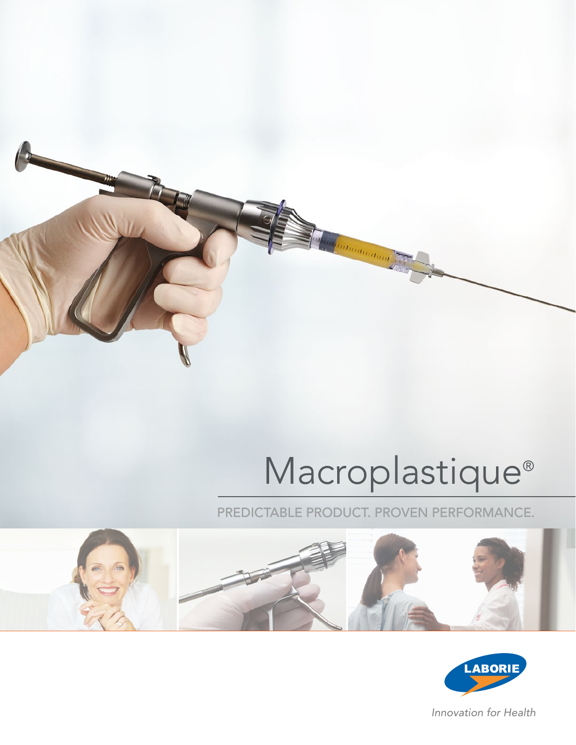

# Macroplastique®

PREDICTABLE PRODUCT. PROVEN PERFORMANCE.





*Innovation for Health*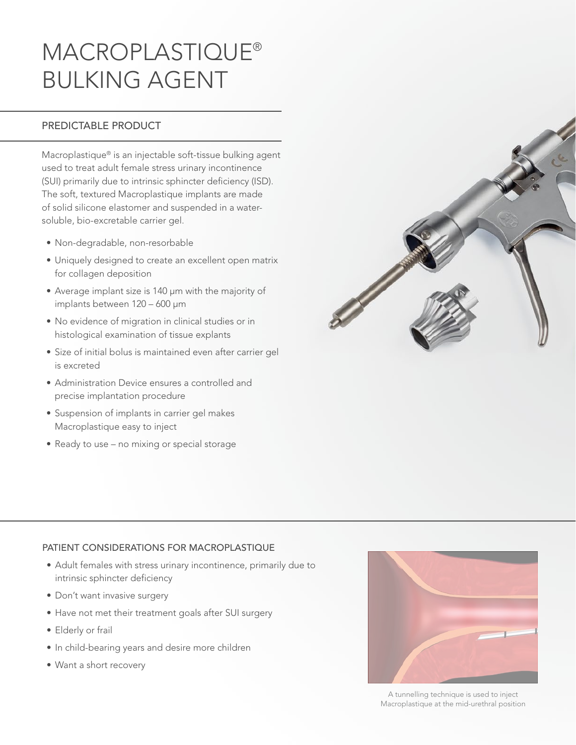# MACROPLASTIQUE® BULKING AGENT

### PREDICTABLE PRODUCT

Macroplastique® is an injectable soft-tissue bulking agent used to treat adult female stress urinary incontinence (SUI) primarily due to intrinsic sphincter deficiency (ISD). The soft, textured Macroplastique implants are made of solid silicone elastomer and suspended in a watersoluble, bio-excretable carrier gel.

- Non-degradable, non-resorbable
- Uniquely designed to create an excellent open matrix for collagen deposition
- Average implant size is 140 µm with the majority of implants between 120 – 600 µm
- No evidence of migration in clinical studies or in histological examination of tissue explants
- Size of initial bolus is maintained even after carrier gel is excreted
- Administration Device ensures a controlled and precise implantation procedure
- Suspension of implants in carrier gel makes Macroplastique easy to inject
- Ready to use no mixing or special storage



#### PATIENT CONSIDERATIONS FOR MACROPLASTIQUE

- Adult females with stress urinary incontinence, primarily due to intrinsic sphincter deficiency
- Don't want invasive surgery
- Have not met their treatment goals after SUI surgery
- Elderly or frail
- In child-bearing years and desire more children
- Want a short recovery



A tunnelling technique is used to inject Macroplastique at the mid-urethral position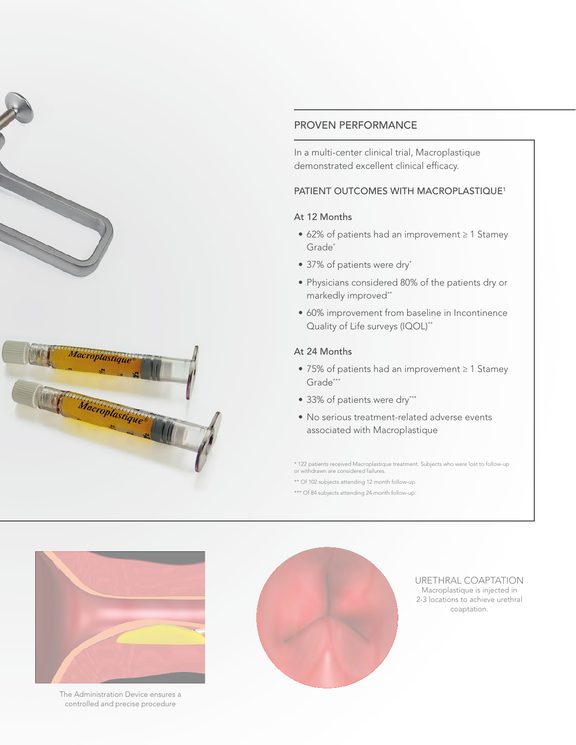



#### PROVEN PERFORMANCE

In a multi-center clinical trial, Macroplastique demonstrated excellent clinical efficacy.

#### PATIENT OUTCOMES WITH MACROPLASTIQUE<sup>1</sup>

#### At 12 Months

- 62% of patients had an improvement ≥ 1 Stamey Grade\*
- 37% of patients were dry\*
- Physicians considered 80% of the patients dry or markedly improved\*\*
- 60% improvement from baseline in Incontinence Quality of Life surveys (IQOL)<sup>\*\*</sup>

#### At 24 Months

- 75% of patients had an improvement ≥ 1 Stamey Grade\*\*\*
- 33% of patients were dry\*\*\*
- No serious treatment-related adverse events associated with Macroplastique

\* 122 patients received Macroplastique treatment. Subjects who were lost to follow-up or withdrawn are considered failures.

\*\* Of 102 subjects attending 12 month follow-up.

\*\*\* Of 84 subjects attending 24 month follow-up.



The Administration Device ensures a controlled and precise procedure



Macroplastique is injected in 2-3 locations to achieve urethral coaptation. URETHRAL COAPTATION